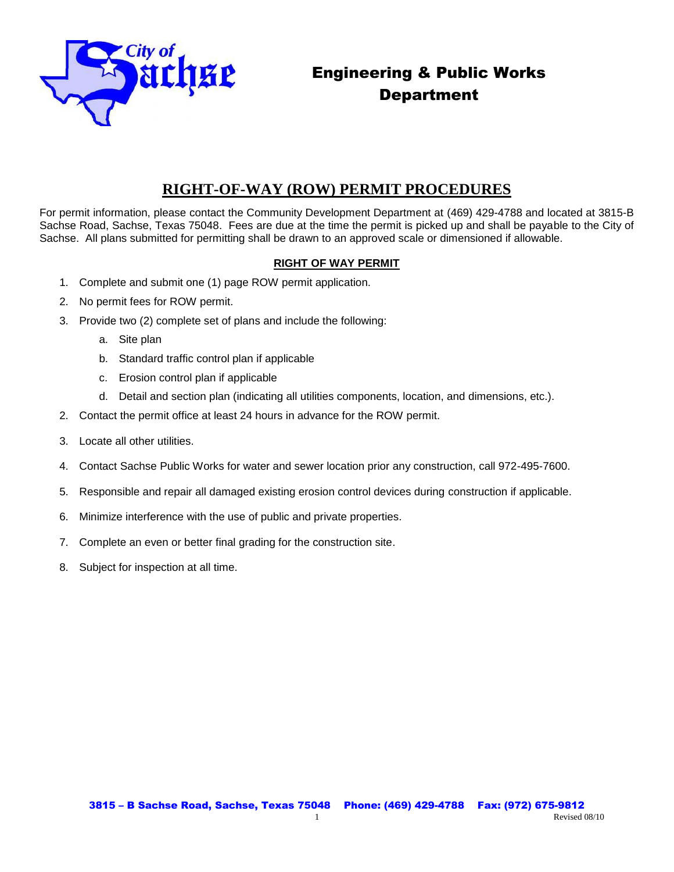

## Engineering & Public Works Department

## **RIGHT-OF-WAY (ROW) PERMIT PROCEDURES**

For permit information, please contact the Community Development Department at (469) 429-4788 and located at 3815-B Sachse Road, Sachse, Texas 75048. Fees are due at the time the permit is picked up and shall be payable to the City of Sachse. All plans submitted for permitting shall be drawn to an approved scale or dimensioned if allowable.

## **RIGHT OF WAY PERMIT**

- 1. Complete and submit one (1) page ROW permit application.
- 2. No permit fees for ROW permit.
- 3. Provide two (2) complete set of plans and include the following:
	- a. Site plan
	- b. Standard traffic control plan if applicable
	- c. Erosion control plan if applicable
	- d. Detail and section plan (indicating all utilities components, location, and dimensions, etc.).
- 2. Contact the permit office at least 24 hours in advance for the ROW permit.
- 3. Locate all other utilities.
- 4. Contact Sachse Public Works for water and sewer location prior any construction, call 972-495-7600.
- 5. Responsible and repair all damaged existing erosion control devices during construction if applicable.
- 6. Minimize interference with the use of public and private properties.
- 7. Complete an even or better final grading for the construction site.
- 8. Subject for inspection at all time.